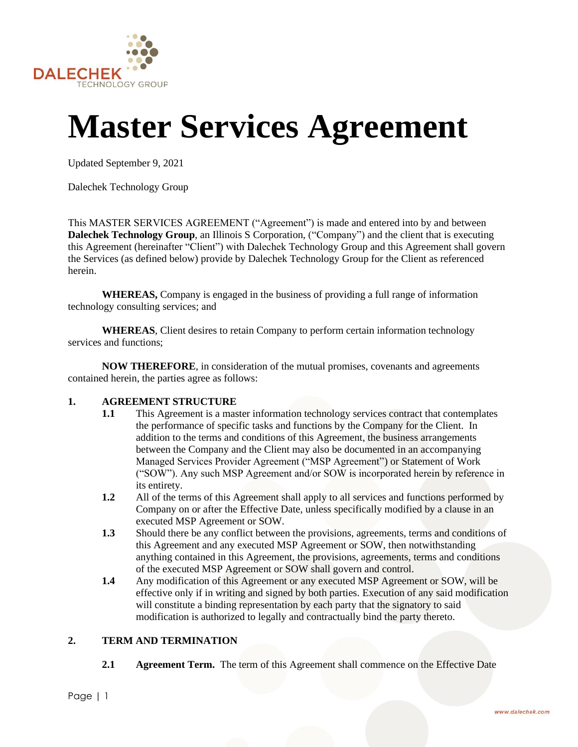

# **Master Services Agreement**

Updated September 9, 2021

Dalechek Technology Group

This MASTER SERVICES AGREEMENT ("Agreement") is made and entered into by and between **Dalechek Technology Group**, an Illinois S Corporation, ("Company") and the client that is executing this Agreement (hereinafter "Client") with Dalechek Technology Group and this Agreement shall govern the Services (as defined below) provide by Dalechek Technology Group for the Client as referenced herein.

**WHEREAS,** Company is engaged in the business of providing a full range of information technology consulting services; and

**WHEREAS**, Client desires to retain Company to perform certain information technology services and functions;

**NOW THEREFORE**, in consideration of the mutual promises, covenants and agreements contained herein, the parties agree as follows:

# **1. AGREEMENT STRUCTURE**

- **1.1** This Agreement is a master information technology services contract that contemplates the performance of specific tasks and functions by the Company for the Client. In addition to the terms and conditions of this Agreement, the business arrangements between the Company and the Client may also be documented in an accompanying Managed Services Provider Agreement ("MSP Agreement") or Statement of Work ("SOW"). Any such MSP Agreement and/or SOW is incorporated herein by reference in its entirety.
- **1.2** All of the terms of this Agreement shall apply to all services and functions performed by Company on or after the Effective Date, unless specifically modified by a clause in an executed MSP Agreement or SOW.
- **1.3** Should there be any conflict between the provisions, agreements, terms and conditions of this Agreement and any executed MSP Agreement or SOW, then notwithstanding anything contained in this Agreement, the provisions, agreements, terms and conditions of the executed MSP Agreement or SOW shall govern and control.
- **1.4** Any modification of this Agreement or any executed MSP Agreement or SOW, will be effective only if in writing and signed by both parties. Execution of any said modification will constitute a binding representation by each party that the signatory to said modification is authorized to legally and contractually bind the party thereto.

# **2. TERM AND TERMINATION**

**2.1 Agreement Term.** The term of this Agreement shall commence on the Effective Date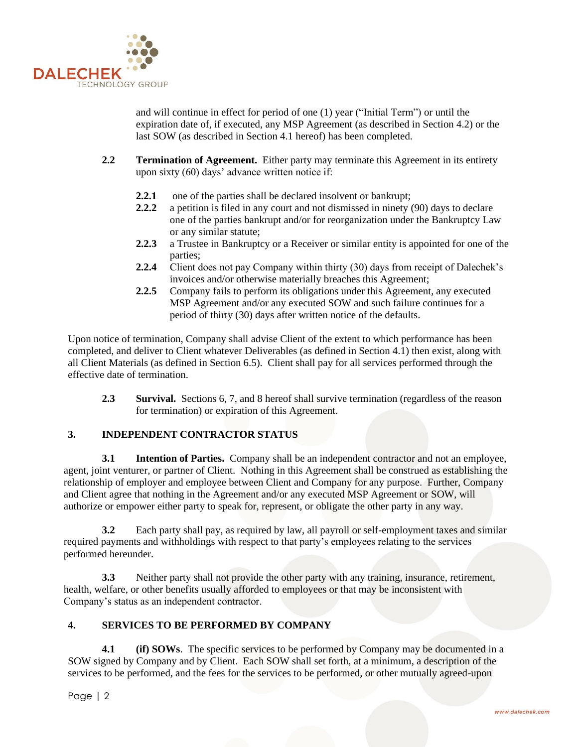

and will continue in effect for period of one (1) year ("Initial Term") or until the expiration date of, if executed, any MSP Agreement (as described in Section 4.2) or the last SOW (as described in Section 4.1 hereof) has been completed.

- **2.2 Termination of Agreement.** Either party may terminate this Agreement in its entirety upon sixty (60) days' advance written notice if:
	- **2.2.1** one of the parties shall be declared insolvent or bankrupt;
	- **2.2.2** a petition is filed in any court and not dismissed in ninety (90) days to declare one of the parties bankrupt and/or for reorganization under the Bankruptcy Law or any similar statute;
	- **2.2.3** a Trustee in Bankruptcy or a Receiver or similar entity is appointed for one of the parties;
	- **2.2.4** Client does not pay Company within thirty (30) days from receipt of Dalechek's invoices and/or otherwise materially breaches this Agreement;
	- **2.2.5** Company fails to perform its obligations under this Agreement, any executed MSP Agreement and/or any executed SOW and such failure continues for a period of thirty (30) days after written notice of the defaults.

Upon notice of termination, Company shall advise Client of the extent to which performance has been completed, and deliver to Client whatever Deliverables (as defined in Section 4.1) then exist, along with all Client Materials (as defined in Section 6.5). Client shall pay for all services performed through the effective date of termination.

**2.3 Survival.** Sections 6, 7, and 8 hereof shall survive termination (regardless of the reason for termination) or expiration of this Agreement.

# **3. INDEPENDENT CONTRACTOR STATUS**

**3.1 Intention of Parties.** Company shall be an independent contractor and not an employee, agent, joint venturer, or partner of Client. Nothing in this Agreement shall be construed as establishing the relationship of employer and employee between Client and Company for any purpose. Further, Company and Client agree that nothing in the Agreement and/or any executed MSP Agreement or SOW, will authorize or empower either party to speak for, represent, or obligate the other party in any way.

**3.2** Each party shall pay, as required by law, all payroll or self-employment taxes and similar required payments and withholdings with respect to that party's employees relating to the services performed hereunder.

**3.3** Neither party shall not provide the other party with any training, insurance, retirement, health, welfare, or other benefits usually afforded to employees or that may be inconsistent with Company's status as an independent contractor.

# **4. SERVICES TO BE PERFORMED BY COMPANY**

**4.1 (if) SOWs**. The specific services to be performed by Company may be documented in a SOW signed by Company and by Client. Each SOW shall set forth, at a minimum, a description of the services to be performed, and the fees for the services to be performed, or other mutually agreed-upon

Page | 2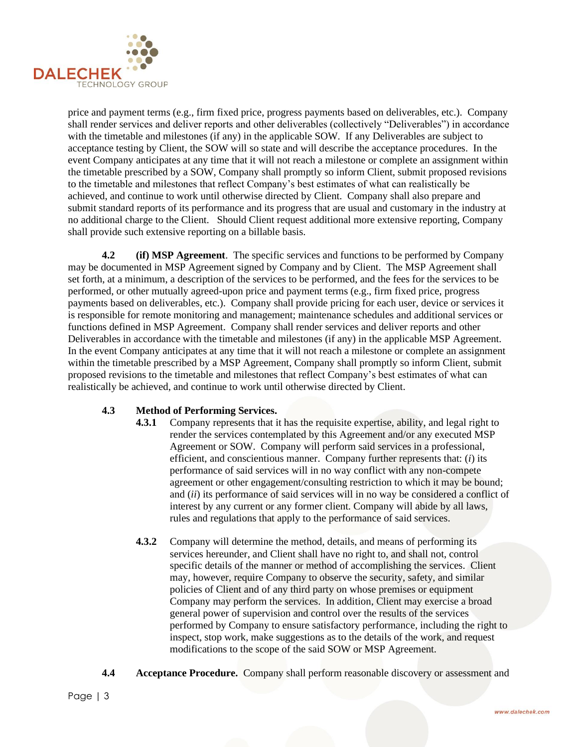

price and payment terms (e.g., firm fixed price, progress payments based on deliverables, etc.). Company shall render services and deliver reports and other deliverables (collectively "Deliverables") in accordance with the timetable and milestones (if any) in the applicable SOW. If any Deliverables are subject to acceptance testing by Client, the SOW will so state and will describe the acceptance procedures. In the event Company anticipates at any time that it will not reach a milestone or complete an assignment within the timetable prescribed by a SOW, Company shall promptly so inform Client, submit proposed revisions to the timetable and milestones that reflect Company's best estimates of what can realistically be achieved, and continue to work until otherwise directed by Client. Company shall also prepare and submit standard reports of its performance and its progress that are usual and customary in the industry at no additional charge to the Client. Should Client request additional more extensive reporting, Company shall provide such extensive reporting on a billable basis.

**4.2 (if) MSP Agreement**. The specific services and functions to be performed by Company may be documented in MSP Agreement signed by Company and by Client. The MSP Agreement shall set forth, at a minimum, a description of the services to be performed, and the fees for the services to be performed, or other mutually agreed-upon price and payment terms (e.g., firm fixed price, progress payments based on deliverables, etc.). Company shall provide pricing for each user, device or services it is responsible for remote monitoring and management; maintenance schedules and additional services or functions defined in MSP Agreement. Company shall render services and deliver reports and other Deliverables in accordance with the timetable and milestones (if any) in the applicable MSP Agreement. In the event Company anticipates at any time that it will not reach a milestone or complete an assignment within the timetable prescribed by a MSP Agreement, Company shall promptly so inform Client, submit proposed revisions to the timetable and milestones that reflect Company's best estimates of what can realistically be achieved, and continue to work until otherwise directed by Client.

# **4.3 Method of Performing Services.**

- **4.3.1** Company represents that it has the requisite expertise, ability, and legal right to render the services contemplated by this Agreement and/or any executed MSP Agreement or SOW. Company will perform said services in a professional, efficient, and conscientious manner. Company further represents that: (*i*) its performance of said services will in no way conflict with any non-compete agreement or other engagement/consulting restriction to which it may be bound; and (*ii*) its performance of said services will in no way be considered a conflict of interest by any current or any former client. Company will abide by all laws, rules and regulations that apply to the performance of said services.
- **4.3.2** Company will determine the method, details, and means of performing its services hereunder, and Client shall have no right to, and shall not, control specific details of the manner or method of accomplishing the services. Client may, however, require Company to observe the security, safety, and similar policies of Client and of any third party on whose premises or equipment Company may perform the services. In addition, Client may exercise a broad general power of supervision and control over the results of the services performed by Company to ensure satisfactory performance, including the right to inspect, stop work, make suggestions as to the details of the work, and request modifications to the scope of the said SOW or MSP Agreement.
- **4.4 Acceptance Procedure.** Company shall perform reasonable discovery or assessment and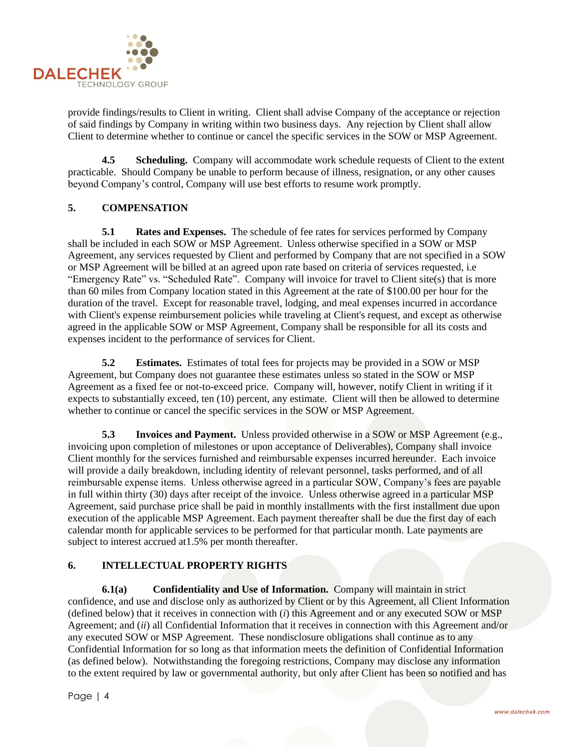

provide findings/results to Client in writing. Client shall advise Company of the acceptance or rejection of said findings by Company in writing within two business days. Any rejection by Client shall allow Client to determine whether to continue or cancel the specific services in the SOW or MSP Agreement.

**4.5 Scheduling.** Company will accommodate work schedule requests of Client to the extent practicable. Should Company be unable to perform because of illness, resignation, or any other causes beyond Company's control, Company will use best efforts to resume work promptly.

# **5. COMPENSATION**

**5.1 Rates and Expenses.** The schedule of fee rates for services performed by Company shall be included in each SOW or MSP Agreement. Unless otherwise specified in a SOW or MSP Agreement, any services requested by Client and performed by Company that are not specified in a SOW or MSP Agreement will be billed at an agreed upon rate based on criteria of services requested, i.e "Emergency Rate" vs. "Scheduled Rate". Company will invoice for travel to Client site(s) that is more than 60 miles from Company location stated in this Agreement at the rate of \$100.00 per hour for the duration of the travel. Except for reasonable travel, lodging, and meal expenses incurred in accordance with Client's expense reimbursement policies while traveling at Client's request, and except as otherwise agreed in the applicable SOW or MSP Agreement, Company shall be responsible for all its costs and expenses incident to the performance of services for Client.

**5.2 Estimates.** Estimates of total fees for projects may be provided in a SOW or MSP Agreement, but Company does not guarantee these estimates unless so stated in the SOW or MSP Agreement as a fixed fee or not-to-exceed price. Company will, however, notify Client in writing if it expects to substantially exceed, ten (10) percent, any estimate. Client will then be allowed to determine whether to continue or cancel the specific services in the SOW or MSP Agreement.

**5.3 Invoices and Payment.** Unless provided otherwise in a SOW or MSP Agreement (e.g., invoicing upon completion of milestones or upon acceptance of Deliverables), Company shall invoice Client monthly for the services furnished and reimbursable expenses incurred hereunder. Each invoice will provide a daily breakdown, including identity of relevant personnel, tasks performed, and of all reimbursable expense items. Unless otherwise agreed in a particular SOW, Company's fees are payable in full within thirty (30) days after receipt of the invoice. Unless otherwise agreed in a particular MSP Agreement, said purchase price shall be paid in monthly installments with the first installment due upon execution of the applicable MSP Agreement. Each payment thereafter shall be due the first day of each calendar month for applicable services to be performed for that particular month. Late payments are subject to interest accrued at1.5% per month thereafter.

# **6. INTELLECTUAL PROPERTY RIGHTS**

**6.1(a) Confidentiality and Use of Information.** Company will maintain in strict confidence, and use and disclose only as authorized by Client or by this Agreement, all Client Information (defined below) that it receives in connection with (*i*) this Agreement and or any executed SOW or MSP Agreement; and (*ii*) all Confidential Information that it receives in connection with this Agreement and/or any executed SOW or MSP Agreement. These nondisclosure obligations shall continue as to any Confidential Information for so long as that information meets the definition of Confidential Information (as defined below). Notwithstanding the foregoing restrictions, Company may disclose any information to the extent required by law or governmental authority, but only after Client has been so notified and has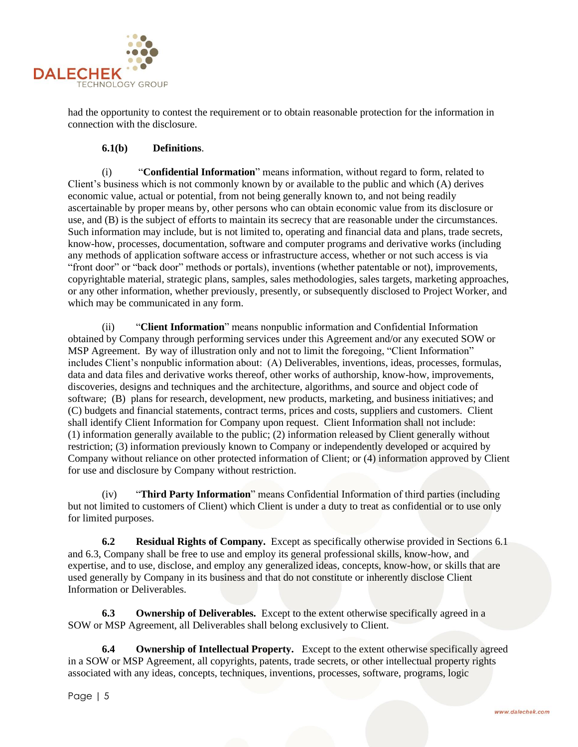

had the opportunity to contest the requirement or to obtain reasonable protection for the information in connection with the disclosure.

# **6.1(b) Definitions**.

(i) "**Confidential Information**" means information, without regard to form, related to Client's business which is not commonly known by or available to the public and which (A) derives economic value, actual or potential, from not being generally known to, and not being readily ascertainable by proper means by, other persons who can obtain economic value from its disclosure or use, and (B) is the subject of efforts to maintain its secrecy that are reasonable under the circumstances. Such information may include, but is not limited to, operating and financial data and plans, trade secrets, know-how, processes, documentation, software and computer programs and derivative works (including any methods of application software access or infrastructure access, whether or not such access is via "front door" or "back door" methods or portals), inventions (whether patentable or not), improvements, copyrightable material, strategic plans, samples, sales methodologies, sales targets, marketing approaches, or any other information, whether previously, presently, or subsequently disclosed to Project Worker, and which may be communicated in any form.

(ii) "**Client Information**" means nonpublic information and Confidential Information obtained by Company through performing services under this Agreement and/or any executed SOW or MSP Agreement. By way of illustration only and not to limit the foregoing, "Client Information" includes Client's nonpublic information about: (A) Deliverables, inventions, ideas, processes, formulas, data and data files and derivative works thereof, other works of authorship, know-how, improvements, discoveries, designs and techniques and the architecture, algorithms, and source and object code of software; (B) plans for research, development, new products, marketing, and business initiatives; and (C) budgets and financial statements, contract terms, prices and costs, suppliers and customers. Client shall identify Client Information for Company upon request. Client Information shall not include: (1) information generally available to the public; (2) information released by Client generally without restriction; (3) information previously known to Company or independently developed or acquired by Company without reliance on other protected information of Client; or (4) information approved by Client for use and disclosure by Company without restriction.

(iv) "**Third Party Information**" means Confidential Information of third parties (including but not limited to customers of Client) which Client is under a duty to treat as confidential or to use only for limited purposes.

**6.2 Residual Rights of Company.** Except as specifically otherwise provided in Sections 6.1 and 6.3, Company shall be free to use and employ its general professional skills, know-how, and expertise, and to use, disclose, and employ any generalized ideas, concepts, know-how, or skills that are used generally by Company in its business and that do not constitute or inherently disclose Client Information or Deliverables.

**6.3 Ownership of Deliverables.** Except to the extent otherwise specifically agreed in a SOW or MSP Agreement, all Deliverables shall belong exclusively to Client.

**6.4 Ownership of Intellectual Property.** Except to the extent otherwise specifically agreed in a SOW or MSP Agreement, all copyrights, patents, trade secrets, or other intellectual property rights associated with any ideas, concepts, techniques, inventions, processes, software, programs, logic

Page | 5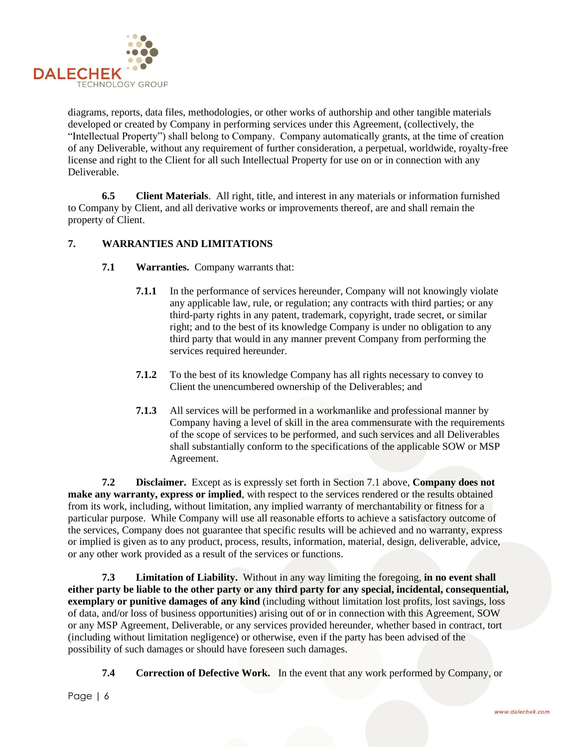

diagrams, reports, data files, methodologies, or other works of authorship and other tangible materials developed or created by Company in performing services under this Agreement, (collectively, the "Intellectual Property") shall belong to Company. Company automatically grants, at the time of creation of any Deliverable, without any requirement of further consideration, a perpetual, worldwide, royalty-free license and right to the Client for all such Intellectual Property for use on or in connection with any Deliverable.

**6.5 Client Materials**. All right, title, and interest in any materials or information furnished to Company by Client, and all derivative works or improvements thereof, are and shall remain the property of Client.

# **7. WARRANTIES AND LIMITATIONS**

- **7.1 Warranties.** Company warrants that:
	- **7.1.1** In the performance of services hereunder, Company will not knowingly violate any applicable law, rule, or regulation; any contracts with third parties; or any third-party rights in any patent, trademark, copyright, trade secret, or similar right; and to the best of its knowledge Company is under no obligation to any third party that would in any manner prevent Company from performing the services required hereunder.
	- **7.1.2** To the best of its knowledge Company has all rights necessary to convey to Client the unencumbered ownership of the Deliverables; and
	- **7.1.3** All services will be performed in a workmanlike and professional manner by Company having a level of skill in the area commensurate with the requirements of the scope of services to be performed, and such services and all Deliverables shall substantially conform to the specifications of the applicable SOW or MSP Agreement.

**7.2 Disclaimer.** Except as is expressly set forth in Section 7.1 above, **Company does not make any warranty, express or implied**, with respect to the services rendered or the results obtained from its work, including, without limitation, any implied warranty of merchantability or fitness for a particular purpose. While Company will use all reasonable efforts to achieve a satisfactory outcome of the services, Company does not guarantee that specific results will be achieved and no warranty, express or implied is given as to any product, process, results, information, material, design, deliverable, advice, or any other work provided as a result of the services or functions.

**7.3 Limitation of Liability.** Without in any way limiting the foregoing, **in no event shall either party be liable to the other party or any third party for any special, incidental, consequential, exemplary or punitive damages of any kind** (including without limitation lost profits, lost savings, loss of data, and/or loss of business opportunities) arising out of or in connection with this Agreement, SOW or any MSP Agreement, Deliverable, or any services provided hereunder, whether based in contract, tort (including without limitation negligence) or otherwise, even if the party has been advised of the possibility of such damages or should have foreseen such damages.

**7.4 Correction of Defective Work.** In the event that any work performed by Company, or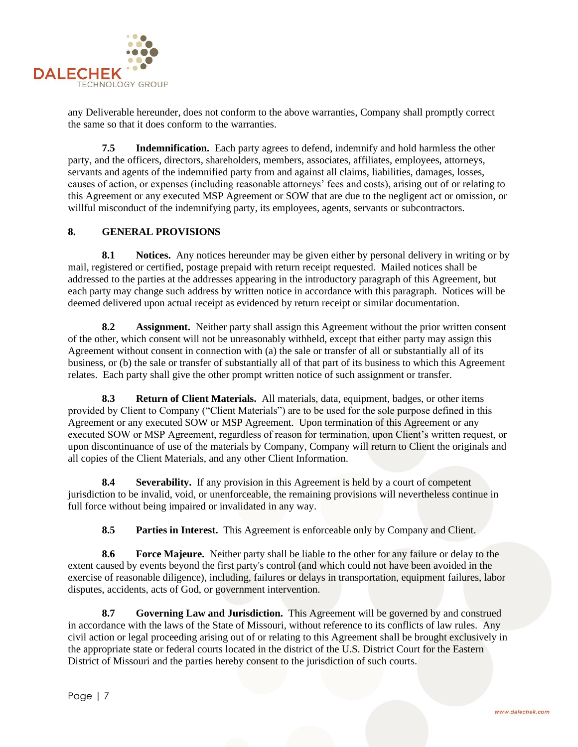

any Deliverable hereunder, does not conform to the above warranties, Company shall promptly correct the same so that it does conform to the warranties.

**7.5 Indemnification.** Each party agrees to defend, indemnify and hold harmless the other party, and the officers, directors, shareholders, members, associates, affiliates, employees, attorneys, servants and agents of the indemnified party from and against all claims, liabilities, damages, losses, causes of action, or expenses (including reasonable attorneys' fees and costs), arising out of or relating to this Agreement or any executed MSP Agreement or SOW that are due to the negligent act or omission, or willful misconduct of the indemnifying party, its employees, agents, servants or subcontractors.

# **8. GENERAL PROVISIONS**

**8.1 Notices.** Any notices hereunder may be given either by personal delivery in writing or by mail, registered or certified, postage prepaid with return receipt requested. Mailed notices shall be addressed to the parties at the addresses appearing in the introductory paragraph of this Agreement, but each party may change such address by written notice in accordance with this paragraph. Notices will be deemed delivered upon actual receipt as evidenced by return receipt or similar documentation.

**8.2 Assignment.** Neither party shall assign this Agreement without the prior written consent of the other, which consent will not be unreasonably withheld, except that either party may assign this Agreement without consent in connection with (a) the sale or transfer of all or substantially all of its business, or (b) the sale or transfer of substantially all of that part of its business to which this Agreement relates. Each party shall give the other prompt written notice of such assignment or transfer.

**8.3 Return of Client Materials.** All materials, data, equipment, badges, or other items provided by Client to Company ("Client Materials") are to be used for the sole purpose defined in this Agreement or any executed SOW or MSP Agreement. Upon termination of this Agreement or any executed SOW or MSP Agreement, regardless of reason for termination, upon Client's written request, or upon discontinuance of use of the materials by Company, Company will return to Client the originals and all copies of the Client Materials, and any other Client Information.

**8.4 Severability.** If any provision in this Agreement is held by a court of competent jurisdiction to be invalid, void, or unenforceable, the remaining provisions will nevertheless continue in full force without being impaired or invalidated in any way.

**8.5 Parties in Interest.** This Agreement is enforceable only by Company and Client.

**8.6 Force Majeure.** Neither party shall be liable to the other for any failure or delay to the extent caused by events beyond the first party's control (and which could not have been avoided in the exercise of reasonable diligence), including, failures or delays in transportation, equipment failures, labor disputes, accidents, acts of God, or government intervention.

**8.7 Governing Law and Jurisdiction.** This Agreement will be governed by and construed in accordance with the laws of the State of Missouri, without reference to its conflicts of law rules. Any civil action or legal proceeding arising out of or relating to this Agreement shall be brought exclusively in the appropriate state or federal courts located in the district of the U.S. District Court for the Eastern District of Missouri and the parties hereby consent to the jurisdiction of such courts.